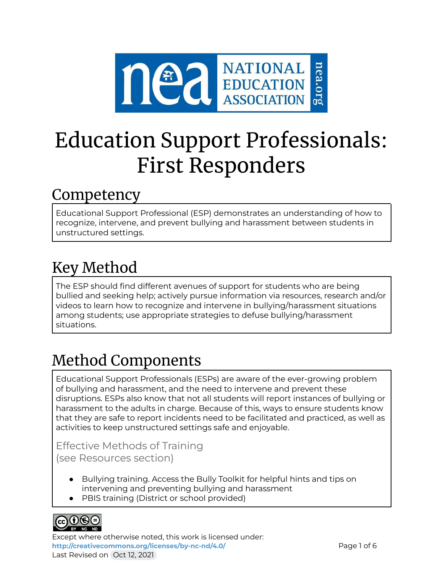

# Education Support Professionals: First Responders

### Competency

Educational Support Professional (ESP) demonstrates an understanding of how to recognize, intervene, and prevent bullying and harassment between students in unstructured settings.

# Key Method

The ESP should find different avenues of support for students who are being bullied and seeking help; actively pursue information via resources, research and/or videos to learn how to recognize and intervene in bullying/harassment situations among students; use appropriate strategies to defuse bullying/harassment situations.

# Method Components

Educational Support Professionals (ESPs) are aware of the ever-growing problem of bullying and harassment, and the need to intervene and prevent these disruptions. ESPs also know that not all students will report instances of bullying or harassment to the adults in charge. Because of this, ways to ensure students know that they are safe to report incidents need to be facilitated and practiced, as well as activities to keep unstructured settings safe and enjoyable.

Effective Methods of Training (see Resources section)

- Bullying training. Access the Bully Toolkit for helpful hints and tips on intervening and preventing bullying and harassment
- PBIS training (District or school provided)



Except where otherwise noted, this work is licensed under: <http://creativecommons.org/licenses/by-nc-nd/4.0/> **Page 1 of 6** Last Revised on Oct 12, 2021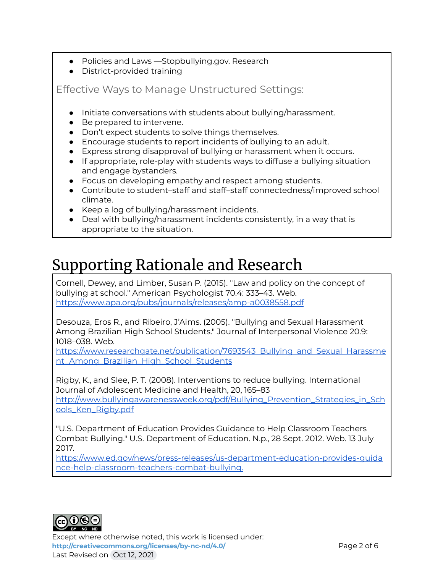- Policies and Laws —Stopbullying.gov. Research
- District-provided training

Effective Ways to Manage Unstructured Settings:

- Initiate conversations with students about bullying/harassment.
- Be prepared to intervene.
- Don't expect students to solve things themselves.
- Encourage students to report incidents of bullying to an adult.
- Express strong disapproval of bullying or harassment when it occurs.
- If appropriate, role-play with students ways to diffuse a bullying situation and engage bystanders.
- Focus on developing empathy and respect among students.
- Contribute to student–staff and staff–staff connectedness/improved school climate.
- Keep a log of bullying/harassment incidents.
- Deal with bullying/harassment incidents consistently, in a way that is appropriate to the situation.

## Supporting Rationale and Research

Cornell, Dewey, and Limber, Susan P. (2015). "Law and policy on the concept of bullying at school." American Psychologist 70.4: 333–43. Web. [https://www.apa.org/pubs/journals/releases/amp-a0038558.pdf](https://www.ed.gov/news/press-releases/us-department-education-provides-guidance-help-classroom-teachers-combat-bullying.)

Desouza, Eros R., and Ribeiro, J'Aims. (2005). "Bullying and Sexual Harassment Among Brazilian High School Students." Journal of Interpersonal Violence 20.9: 1018–038. Web.

[https://www.researchgate.net/publication/7693543\\_Bullying\\_and\\_Sexual\\_Harassme](https://www.ed.gov/news/press-releases/us-department-education-provides-guidance-help-classroom-teachers-combat-bullying.) [nt\\_Among\\_Brazilian\\_High\\_School\\_Students](https://www.ed.gov/news/press-releases/us-department-education-provides-guidance-help-classroom-teachers-combat-bullying.)

Rigby, K., and Slee, P. T. (2008). Interventions to reduce bullying. International Journal of Adolescent Medicine and Health, 20, 165–83 [http://www.bullyingawarenessweek.org/pdf/Bullying\\_Prevention\\_Strategies\\_in\\_Sch](http://www.bullyingawarenessweek.org/pdf/Bullying_Prevention_Strategies_in_Schools_Ken_Rigby.pdf) [ools\\_Ken\\_Rigby.pdf](http://www.bullyingawarenessweek.org/pdf/Bullying_Prevention_Strategies_in_Schools_Ken_Rigby.pdf)

"U.S. Department of Education Provides Guidance to Help Classroom Teachers Combat Bullying." U.S. Department of Education. N.p., 28 Sept. 2012. Web. 13 July 2017.

[https://www.ed.gov/news/press-releases/us-department-education-provides-guida](https://www.ed.gov/news/press-releases/us-department-education-provides-guidance-help-classroom-teachers-combat-bullying.) [nce-help-classroom-teachers-combat-bullying.](https://www.ed.gov/news/press-releases/us-department-education-provides-guidance-help-classroom-teachers-combat-bullying.)



Except where otherwise noted, this work is licensed under: **<http://creativecommons.org/licenses/by-nc-nd/4.0/>** Page 2 of 6 Last Revised on Oct 12, 2021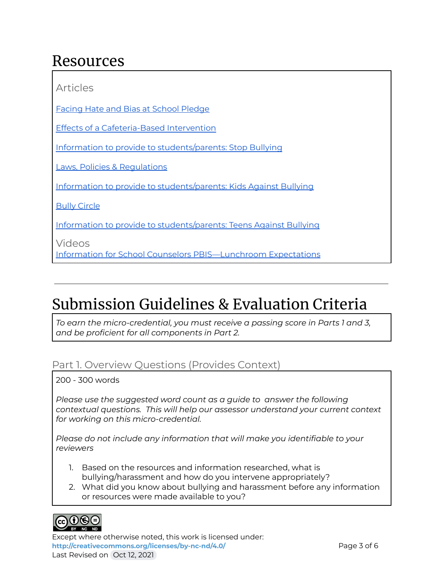### Resources

Articles Facing Hate and Bias at School [Pledge](https://neaedjustice.org/facing-hate-and-bias/) Effects of a [Cafeteria-Based](https://www.mayinstitute.org/pdfs/presentations/2011_parrish.pdf) Intervention Information to provide to [students/parents:](http://www.stopbullying.gov) Stop Bullying Laws, Policies & [Regulations](https://www.stopbullying.gov/laws/index.html) Information to provide to [students/parents:](http://www.pacerkidsagainstbullying.org) Kids Against Bullying Bully [Circle](https://drive.google.com/file/d/0B4-iZkl6hT7KM2NqT1VUbWNGWkE/view) Information to provide to [students/parents:](http://www.pacerteensagainstbullying.org) Teens Against Bullying Videos Information for School Counselors [PBIS—Lunchroom](https://www.youtube.com/watch?v=PeHVYuJTmZk) Expectations

# Submission Guidelines & Evaluation Criteria

*To earn the micro-credential, you must receive a passing score in Parts 1 and 3, and be proficient for all components in Part 2.*

### Part 1. Overview Questions (Provides Context)

200 - 300 words

*Please use the suggested word count as a guide to answer the following contextual questions. This will help our assessor understand your current context for working on this micro-credential.*

*Please do not include any information that will make you identifiable to your reviewers*

- 1. Based on the resources and information researched, what is bullying/harassment and how do you intervene appropriately?
- 2. What did you know about bullying and harassment before any information or resources were made available to you?



Except where otherwise noted, this work is licensed under: <http://creativecommons.org/licenses/by-nc-nd/4.0/><br>
Page 3 of 6 Last Revised on Oct 12, 2021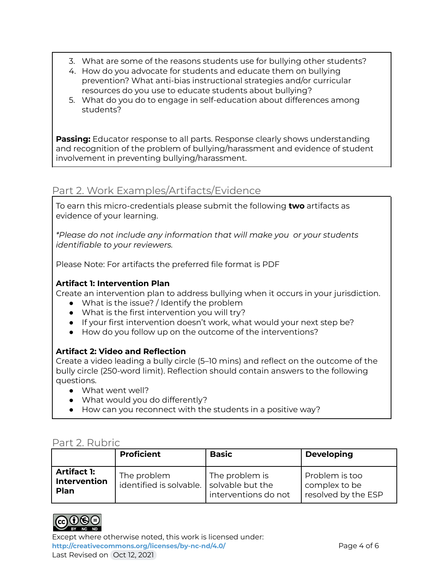- 3. What are some of the reasons students use for bullying other students?
- 4. How do you advocate for students and educate them on bullying prevention? What anti-bias instructional strategies and/or curricular resources do you use to educate students about bullying?
- 5. What do you do to engage in self-education about differences among students?

**Passing:** Educator response to all parts. Response clearly shows understanding and recognition of the problem of bullying/harassment and evidence of student involvement in preventing bullying/harassment.

### Part 2. Work Examples/Artifacts/Evidence

To earn this micro-credentials please submit the following **two** artifacts as evidence of your learning.

*\*Please do not include any information that will make you or your students identifiable to your reviewers.*

Please Note: For artifacts the preferred file format is PDF

### **Artifact 1: Intervention Plan**

Create an intervention plan to address bullying when it occurs in your jurisdiction.

- What is the issue? / Identify the problem
- What is the first intervention you will try?
- If your first intervention doesn't work, what would your next step be?
- How do you follow up on the outcome of the interventions?

### **Artifact 2: Video and Reflection**

Create a video leading a bully circle (5–10 mins) and reflect on the outcome of the bully circle (250-word limit). Reflection should contain answers to the following questions.

- What went well?
- What would you do differently?
- How can you reconnect with the students in a positive way?

### Part 2. Rubric

|                                            | <b>Proficient</b>                      | <b>Basic</b>                                               | <b>Developing</b>                                      |
|--------------------------------------------|----------------------------------------|------------------------------------------------------------|--------------------------------------------------------|
| <b>Artifact 1:</b><br>Intervention<br>Plan | The problem<br>identified is solvable. | The problem is<br>solvable but the<br>interventions do not | Problem is too<br>complex to be<br>resolved by the ESP |



Except where otherwise noted, this work is licensed under: <http://creativecommons.org/licenses/by-nc-nd/4.0/><br>
Page 4 of 6 Last Revised on Oct 12, 2021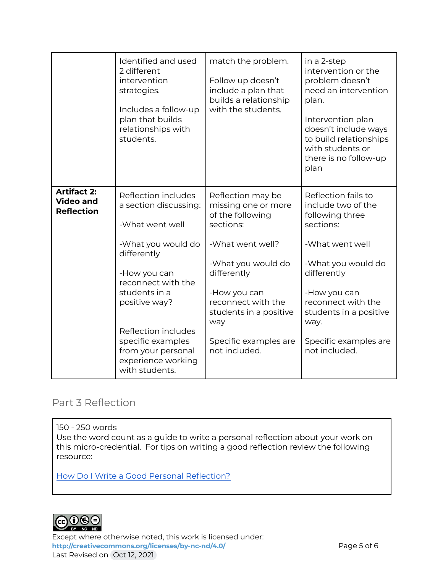|                                                             | Identified and used<br>2 different<br>intervention<br>strategies.<br>Includes a follow-up<br>plan that builds<br>relationships with<br>students.                                                                                                                                       | match the problem.<br>Follow up doesn't<br>include a plan that<br>builds a relationship<br>with the students.                                                                                                                                       | in a 2-step<br>intervention or the<br>problem doesn't<br>need an intervention<br>plan.<br>Intervention plan<br>doesn't include ways<br>to build relationships<br>with students or<br>there is no follow-up<br>plan                                  |
|-------------------------------------------------------------|----------------------------------------------------------------------------------------------------------------------------------------------------------------------------------------------------------------------------------------------------------------------------------------|-----------------------------------------------------------------------------------------------------------------------------------------------------------------------------------------------------------------------------------------------------|-----------------------------------------------------------------------------------------------------------------------------------------------------------------------------------------------------------------------------------------------------|
| <b>Artifact 2:</b><br><b>Video and</b><br><b>Reflection</b> | Reflection includes<br>a section discussing:<br>-What went well<br>-What you would do<br>differently<br>-How you can<br>reconnect with the<br>students in a<br>positive way?<br>Reflection includes<br>specific examples<br>from your personal<br>experience working<br>with students. | Reflection may be<br>missing one or more<br>of the following<br>sections:<br>-What went well?<br>-What you would do<br>differently<br>-How you can<br>reconnect with the<br>students in a positive<br>way<br>Specific examples are<br>not included. | Reflection fails to<br>include two of the<br>following three<br>sections:<br>-What went well<br>-What you would do<br>differently<br>-How you can<br>reconnect with the<br>students in a positive<br>way.<br>Specific examples are<br>not included. |

### Part 3 Reflection

150 - 250 words

Use the word count as a guide to write a personal reflection about your work on this micro-credential. For tips on writing a good reflection review the following resource:

How Do I Write a Good Personal [Reflection?](https://isthismystory.com/learning/how-do-i-write-a-good-personal-reflection/)



Except where otherwise noted, this work is licensed under: <http://creativecommons.org/licenses/by-nc-nd/4.0/><br>
Page 5 of 6 Last Revised on Oct 12, 2021